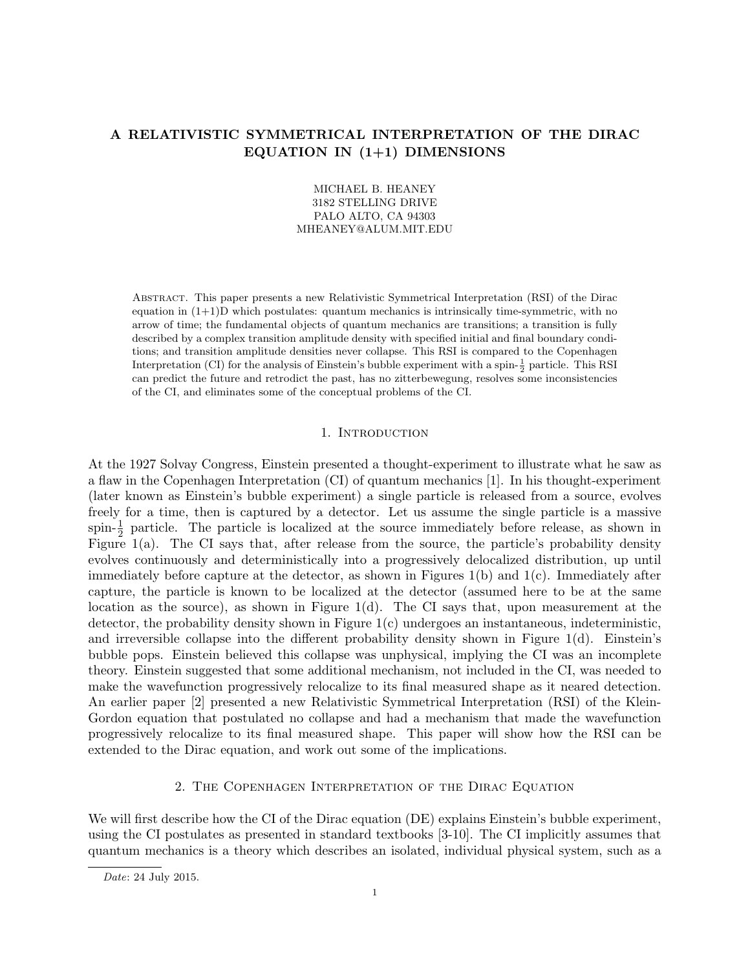# A RELATIVISTIC SYMMETRICAL INTERPRETATION OF THE DIRAC EQUATION IN  $(1+1)$  DIMENSIONS

# MICHAEL B. HEANEY 3182 STELLING DRIVE PALO ALTO, CA 94303 MHEANEY@ALUM.MIT.EDU

Abstract. This paper presents a new Relativistic Symmetrical Interpretation (RSI) of the Dirac equation in  $(1+1)$ D which postulates: quantum mechanics is intrinsically time-symmetric, with no arrow of time; the fundamental objects of quantum mechanics are transitions; a transition is fully described by a complex transition amplitude density with specified initial and final boundary conditions; and transition amplitude densities never collapse. This RSI is compared to the Copenhagen Interpretation (CI) for the analysis of Einstein's bubble experiment with a spin- $\frac{1}{2}$  particle. This RSI can predict the future and retrodict the past, has no zitterbewegung, resolves some inconsistencies of the CI, and eliminates some of the conceptual problems of the CI.

### 1. INTRODUCTION

At the 1927 Solvay Congress, Einstein presented a thought-experiment to illustrate what he saw as a flaw in the Copenhagen Interpretation (CI) of quantum mechanics [1]. In his thought-experiment (later known as Einstein's bubble experiment) a single particle is released from a source, evolves freely for a time, then is captured by a detector. Let us assume the single particle is a massive spin- $\frac{1}{2}$  particle. The particle is localized at the source immediately before release, as shown in Figure  $1(a)$ . The CI says that, after release from the source, the particle's probability density evolves continuously and deterministically into a progressively delocalized distribution, up until immediately before capture at the detector, as shown in Figures 1(b) and 1(c). Immediately after capture, the particle is known to be localized at the detector (assumed here to be at the same location as the source), as shown in Figure 1(d). The CI says that, upon measurement at the detector, the probability density shown in Figure  $1(c)$  undergoes an instantaneous, indeterministic, and irreversible collapse into the different probability density shown in Figure  $1(d)$ . Einstein's bubble pops. Einstein believed this collapse was unphysical, implying the CI was an incomplete theory. Einstein suggested that some additional mechanism, not included in the CI, was needed to make the wavefunction progressively relocalize to its final measured shape as it neared detection. An earlier paper [2] presented a new Relativistic Symmetrical Interpretation (RSI) of the Klein-Gordon equation that postulated no collapse and had a mechanism that made the wavefunction progressively relocalize to its final measured shape. This paper will show how the RSI can be extended to the Dirac equation, and work out some of the implications.

#### 2. The Copenhagen Interpretation of the Dirac Equation

We will first describe how the CI of the Dirac equation (DE) explains Einstein's bubble experiment, using the CI postulates as presented in standard textbooks [3-10]. The CI implicitly assumes that quantum mechanics is a theory which describes an isolated, individual physical system, such as a

Date: 24 July 2015.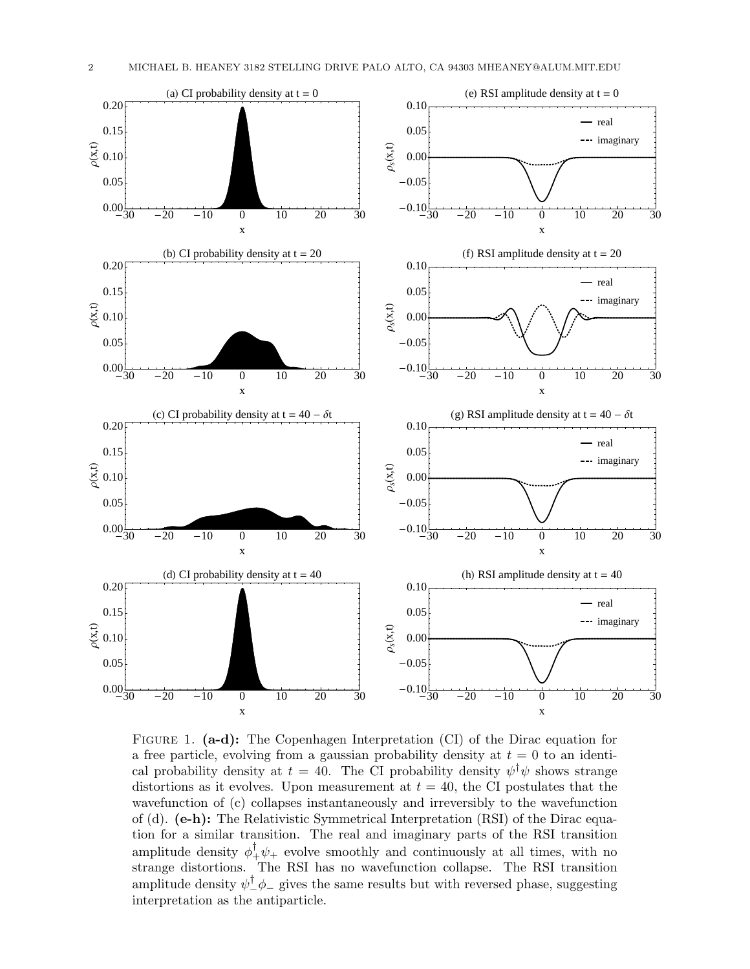

FIGURE 1. (a-d): The Copenhagen Interpretation (CI) of the Dirac equation for a free particle, evolving from a gaussian probability density at  $t = 0$  to an identical probability density at  $t = 40$ . The CI probability density  $\psi^{\dagger} \psi$  shows strange distortions as it evolves. Upon measurement at  $t = 40$ , the CI postulates that the wavefunction of (c) collapses instantaneously and irreversibly to the wavefunction of (d).  $(e-h)$ : The Relativistic Symmetrical Interpretation (RSI) of the Dirac equation for a similar transition. The real and imaginary parts of the RSI transition amplitude density  $\phi_+^{\dagger} \psi_+$  evolve smoothly and continuously at all times, with no strange distortions. The RSI has no wavefunction collapse. The RSI transition amplitude density  $\psi^{\dagger}_{-}\phi_{-}$  gives the same results but with reversed phase, suggesting interpretation as the antiparticle.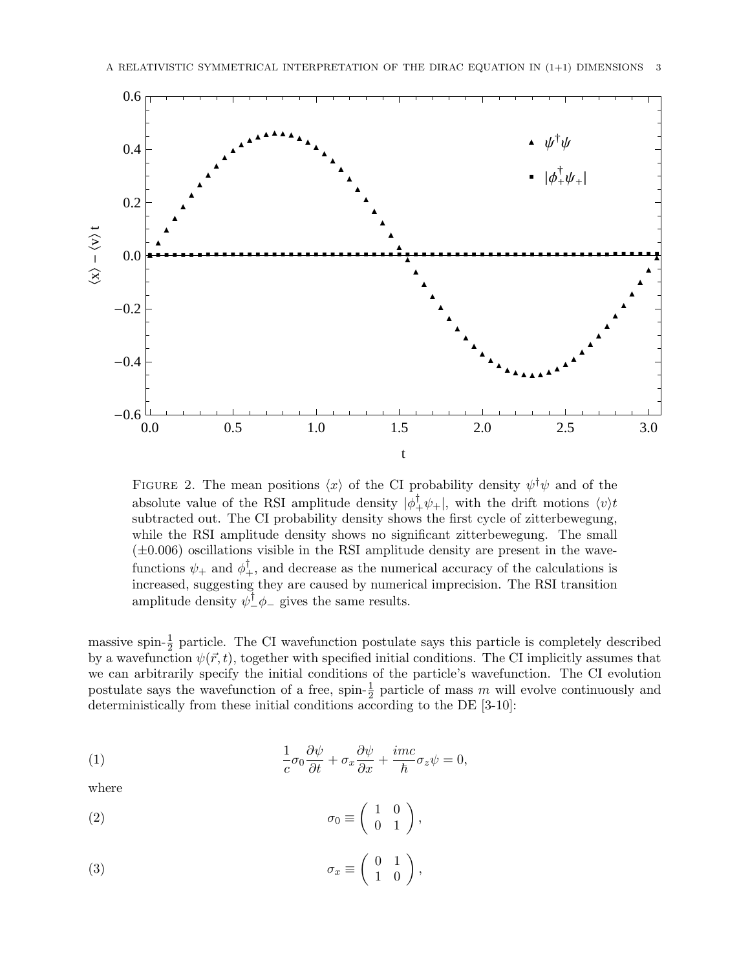

FIGURE 2. The mean positions  $\langle x \rangle$  of the CI probability density  $\psi^{\dagger} \psi$  and of the absolute value of the RSI amplitude density  $|\phi_+^{\dagger}\psi_+|$ , with the drift motions  $\langle v \rangle t$ subtracted out. The CI probability density shows the first cycle of zitterbewegung, while the RSI amplitude density shows no significant zitterbewegung. The small  $(\pm 0.006)$  oscillations visible in the RSI amplitude density are present in the wavefunctions  $\psi_+$  and  $\phi_+^{\dagger}$ , and decrease as the numerical accuracy of the calculations is increased, suggesting they are caused by numerical imprecision. The RSI transition amplitude density  $\psi^{\dagger}_{-}\phi_{-}$  gives the same results.

massive spin- $\frac{1}{2}$  particle. The CI wavefunction postulate says this particle is completely described by a wavefunction  $\psi(\vec{r}, t)$ , together with specified initial conditions. The CI implicitly assumes that we can arbitrarily specify the initial conditions of the particle's wavefunction. The CI evolution postulate says the wavefunction of a free, spin- $\frac{1}{2}$  particle of mass m will evolve continuously and deterministically from these initial conditions according to the DE [3-10]:

(1) 
$$
\frac{1}{c}\sigma_0 \frac{\partial \psi}{\partial t} + \sigma_x \frac{\partial \psi}{\partial x} + \frac{imc}{\hbar} \sigma_z \psi = 0,
$$

where

(2) 
$$
\sigma_0 \equiv \begin{pmatrix} 1 & 0 \\ 0 & 1 \end{pmatrix},
$$

(3) 
$$
\sigma_x \equiv \begin{pmatrix} 0 & 1 \\ 1 & 0 \end{pmatrix},
$$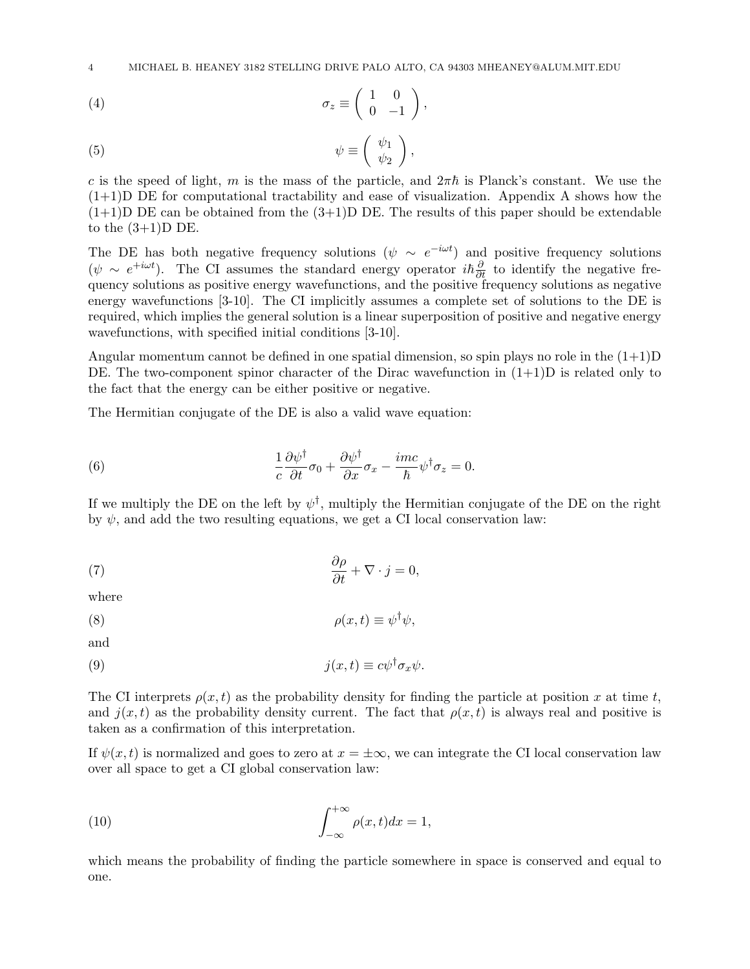4 MICHAEL B. HEANEY 3182 STELLING DRIVE PALO ALTO, CA 94303 MHEANEY@ALUM.MIT.EDU

$$
\sigma_z \equiv \left( \begin{array}{cc} 1 & 0 \\ 0 & -1 \end{array} \right),
$$

(5) 
$$
\psi \equiv \begin{pmatrix} \psi_1 \\ \psi_2 \end{pmatrix},
$$

c is the speed of light, m is the mass of the particle, and  $2\pi\hbar$  is Planck's constant. We use the  $(1+1)$ D DE for computational tractability and ease of visualization. Appendix A shows how the  $(1+1)$ D DE can be obtained from the  $(3+1)$ D DE. The results of this paper should be extendable to the  $(3+1)D$  DE.

The DE has both negative frequency solutions  $(\psi \sim e^{-i\omega t})$  and positive frequency solutions  $(\psi \sim e^{+i\omega t})$ . The CI assumes the standard energy operator  $i\hbar \frac{\partial}{\partial t}$  to identify the negative frequency solutions as positive energy wavefunctions, and the positive frequency solutions as negative energy wavefunctions [3-10]. The CI implicitly assumes a complete set of solutions to the DE is required, which implies the general solution is a linear superposition of positive and negative energy wavefunctions, with specified initial conditions [3-10].

Angular momentum cannot be defined in one spatial dimension, so spin plays no role in the  $(1+1)D$ DE. The two-component spinor character of the Dirac wavefunction in  $(1+1)$ D is related only to the fact that the energy can be either positive or negative.

The Hermitian conjugate of the DE is also a valid wave equation:

(6) 
$$
\frac{1}{c}\frac{\partial \psi^{\dagger}}{\partial t}\sigma_0 + \frac{\partial \psi^{\dagger}}{\partial x}\sigma_x - \frac{imc}{\hbar}\psi^{\dagger}\sigma_z = 0.
$$

If we multiply the DE on the left by  $\psi^{\dagger}$ , multiply the Hermitian conjugate of the DE on the right by  $\psi$ , and add the two resulting equations, we get a CI local conservation law:

(7) 
$$
\frac{\partial \rho}{\partial t} + \nabla \cdot j = 0,
$$

where

(8) 
$$
\rho(x,t) \equiv \psi^{\dagger} \psi,
$$

and

(9) 
$$
j(x,t) \equiv c\psi^{\dagger} \sigma_x \psi.
$$

The CI interprets  $\rho(x, t)$  as the probability density for finding the particle at position x at time t, and  $j(x, t)$  as the probability density current. The fact that  $\rho(x, t)$  is always real and positive is taken as a confirmation of this interpretation.

If  $\psi(x, t)$  is normalized and goes to zero at  $x = \pm \infty$ , we can integrate the CI local conservation law over all space to get a CI global conservation law:

(10) 
$$
\int_{-\infty}^{+\infty} \rho(x, t) dx = 1,
$$

which means the probability of finding the particle somewhere in space is conserved and equal to one.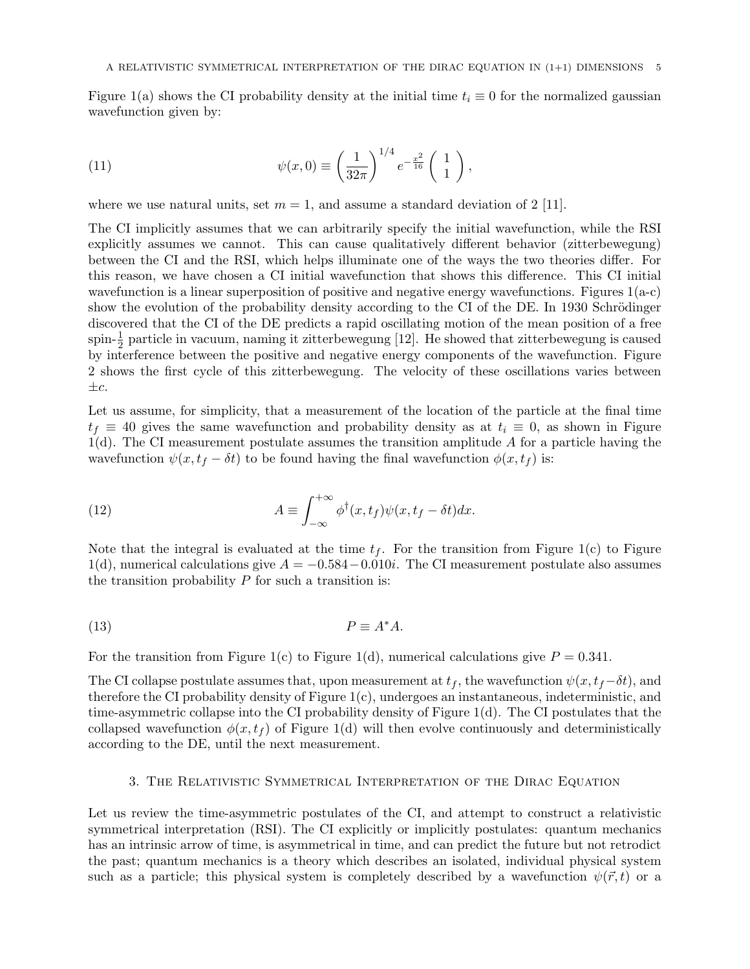Figure 1(a) shows the CI probability density at the initial time  $t_i \equiv 0$  for the normalized gaussian wavefunction given by:

(11) 
$$
\psi(x,0) \equiv \left(\frac{1}{32\pi}\right)^{1/4} e^{-\frac{x^2}{16}} \left(\begin{array}{c} 1\\1 \end{array}\right),
$$

where we use natural units, set  $m = 1$ , and assume a standard deviation of 2 [11].

The CI implicitly assumes that we can arbitrarily specify the initial wavefunction, while the RSI explicitly assumes we cannot. This can cause qualitatively different behavior (zitterbewegung) between the CI and the RSI, which helps illuminate one of the ways the two theories differ. For this reason, we have chosen a CI initial wavefunction that shows this difference. This CI initial wavefunction is a linear superposition of positive and negative energy wavefunctions. Figures  $1(a-c)$ show the evolution of the probability density according to the CI of the DE. In 1930 Schrödinger discovered that the CI of the DE predicts a rapid oscillating motion of the mean position of a free spin- $\frac{1}{2}$  particle in vacuum, naming it zitterbewegung [12]. He showed that zitterbewegung is caused by interference between the positive and negative energy components of the wavefunction. Figure 2 shows the first cycle of this zitterbewegung. The velocity of these oscillations varies between  $\pm c$ .

Let us assume, for simplicity, that a measurement of the location of the particle at the final time  $t_f \equiv 40$  gives the same wavefunction and probability density as at  $t_i \equiv 0$ , as shown in Figure  $1(d)$ . The CI measurement postulate assumes the transition amplitude A for a particle having the wavefunction  $\psi(x, t_f - \delta t)$  to be found having the final wavefunction  $\phi(x, t_f)$  is:

(12) 
$$
A \equiv \int_{-\infty}^{+\infty} \phi^{\dagger}(x, t_f) \psi(x, t_f - \delta t) dx.
$$

Note that the integral is evaluated at the time  $t_f$ . For the transition from Figure 1(c) to Figure 1(d), numerical calculations give  $A = -0.584 - 0.010i$ . The CI measurement postulate also assumes the transition probability  $P$  for such a transition is:

$$
(13) \t\t P \equiv A^*A.
$$

For the transition from Figure 1(c) to Figure 1(d), numerical calculations give  $P = 0.341$ .

The CI collapse postulate assumes that, upon measurement at  $t_f$ , the wavefunction  $\psi(x, t_f - \delta t)$ , and therefore the CI probability density of Figure 1(c), undergoes an instantaneous, indeterministic, and time-asymmetric collapse into the CI probability density of Figure 1(d). The CI postulates that the collapsed wavefunction  $\phi(x, t_f)$  of Figure 1(d) will then evolve continuously and deterministically according to the DE, until the next measurement.

## 3. The Relativistic Symmetrical Interpretation of the Dirac Equation

Let us review the time-asymmetric postulates of the CI, and attempt to construct a relativistic symmetrical interpretation (RSI). The CI explicitly or implicitly postulates: quantum mechanics has an intrinsic arrow of time, is asymmetrical in time, and can predict the future but not retrodict the past; quantum mechanics is a theory which describes an isolated, individual physical system such as a particle; this physical system is completely described by a wavefunction  $\psi(\vec{r},t)$  or a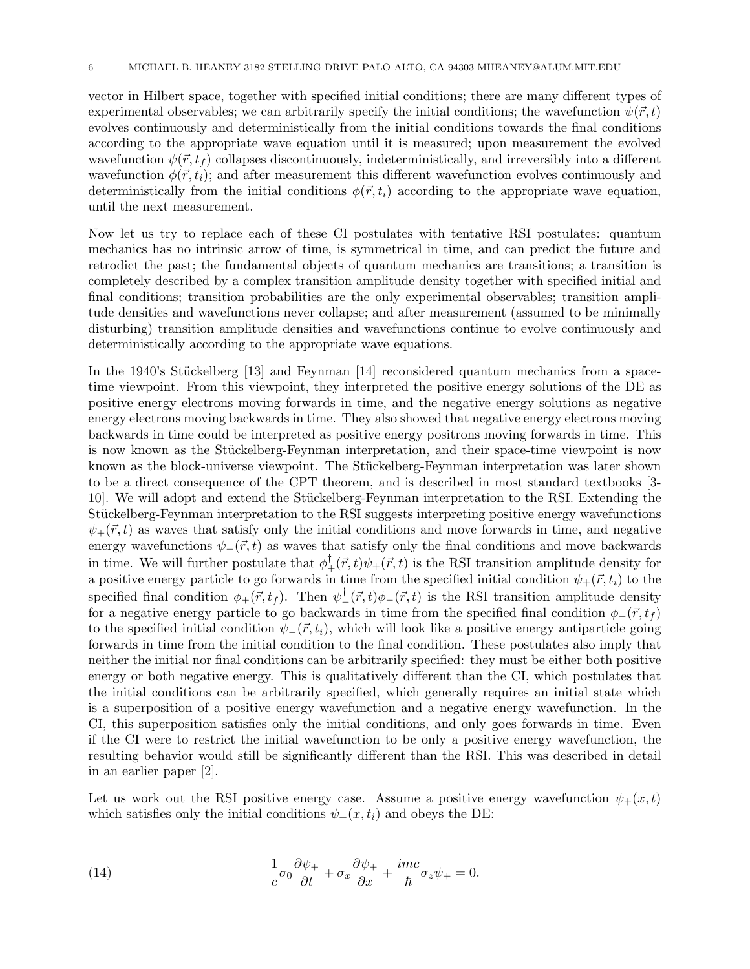vector in Hilbert space, together with specified initial conditions; there are many different types of experimental observables; we can arbitrarily specify the initial conditions; the wavefunction  $\psi(\vec{r}, t)$ evolves continuously and deterministically from the initial conditions towards the final conditions according to the appropriate wave equation until it is measured; upon measurement the evolved wavefunction  $\psi(\vec{r}, t_f)$  collapses discontinuously, indeterministically, and irreversibly into a different wavefunction  $\phi(\vec{r}, t_i)$ ; and after measurement this different wavefunction evolves continuously and deterministically from the initial conditions  $\phi(\vec{r}, t_i)$  according to the appropriate wave equation, until the next measurement.

Now let us try to replace each of these CI postulates with tentative RSI postulates: quantum mechanics has no intrinsic arrow of time, is symmetrical in time, and can predict the future and retrodict the past; the fundamental objects of quantum mechanics are transitions; a transition is completely described by a complex transition amplitude density together with specified initial and final conditions; transition probabilities are the only experimental observables; transition amplitude densities and wavefunctions never collapse; and after measurement (assumed to be minimally disturbing) transition amplitude densities and wavefunctions continue to evolve continuously and deterministically according to the appropriate wave equations.

In the 1940's Stückelberg  $[13]$  and Feynman  $[14]$  reconsidered quantum mechanics from a spacetime viewpoint. From this viewpoint, they interpreted the positive energy solutions of the DE as positive energy electrons moving forwards in time, and the negative energy solutions as negative energy electrons moving backwards in time. They also showed that negative energy electrons moving backwards in time could be interpreted as positive energy positrons moving forwards in time. This is now known as the Stückelberg-Feynman interpretation, and their space-time viewpoint is now known as the block-universe viewpoint. The Stückelberg-Feynman interpretation was later shown to be a direct consequence of the CPT theorem, and is described in most standard textbooks [3- 10]. We will adopt and extend the Stückelberg-Feynman interpretation to the RSI. Extending the Stückelberg-Feynman interpretation to the RSI suggests interpreting positive energy wavefunctions  $\psi_+({\vec r},t)$  as waves that satisfy only the initial conditions and move forwards in time, and negative energy wavefunctions  $\psi_-(\vec{r}, t)$  as waves that satisfy only the final conditions and move backwards in time. We will further postulate that  $\phi_+^{\dagger}(\vec{r},t)\psi_+(\vec{r},t)$  is the RSI transition amplitude density for a positive energy particle to go forwards in time from the specified initial condition  $\psi_+(\vec{r}, t_i)$  to the specified final condition  $\phi_+(\vec{r}, t_f)$ . Then  $\psi_-^{\dagger}(\vec{r}, t) \phi_-(\vec{r}, t)$  is the RSI transition amplitude density for a negative energy particle to go backwards in time from the specified final condition  $\phi_-(\vec{r}, t_f)$ to the specified initial condition  $\psi_-(\vec{r}, t_i)$ , which will look like a positive energy antiparticle going forwards in time from the initial condition to the final condition. These postulates also imply that neither the initial nor final conditions can be arbitrarily specified: they must be either both positive energy or both negative energy. This is qualitatively different than the CI, which postulates that the initial conditions can be arbitrarily specified, which generally requires an initial state which is a superposition of a positive energy wavefunction and a negative energy wavefunction. In the CI, this superposition satisfies only the initial conditions, and only goes forwards in time. Even if the CI were to restrict the initial wavefunction to be only a positive energy wavefunction, the resulting behavior would still be significantly different than the RSI. This was described in detail in an earlier paper [2].

Let us work out the RSI positive energy case. Assume a positive energy wavefunction  $\psi_+(x,t)$ which satisfies only the initial conditions  $\psi_+(x, t_i)$  and obeys the DE:

(14) 
$$
\frac{1}{c}\sigma_0 \frac{\partial \psi_+}{\partial t} + \sigma_x \frac{\partial \psi_+}{\partial x} + \frac{imc}{\hbar} \sigma_z \psi_+ = 0.
$$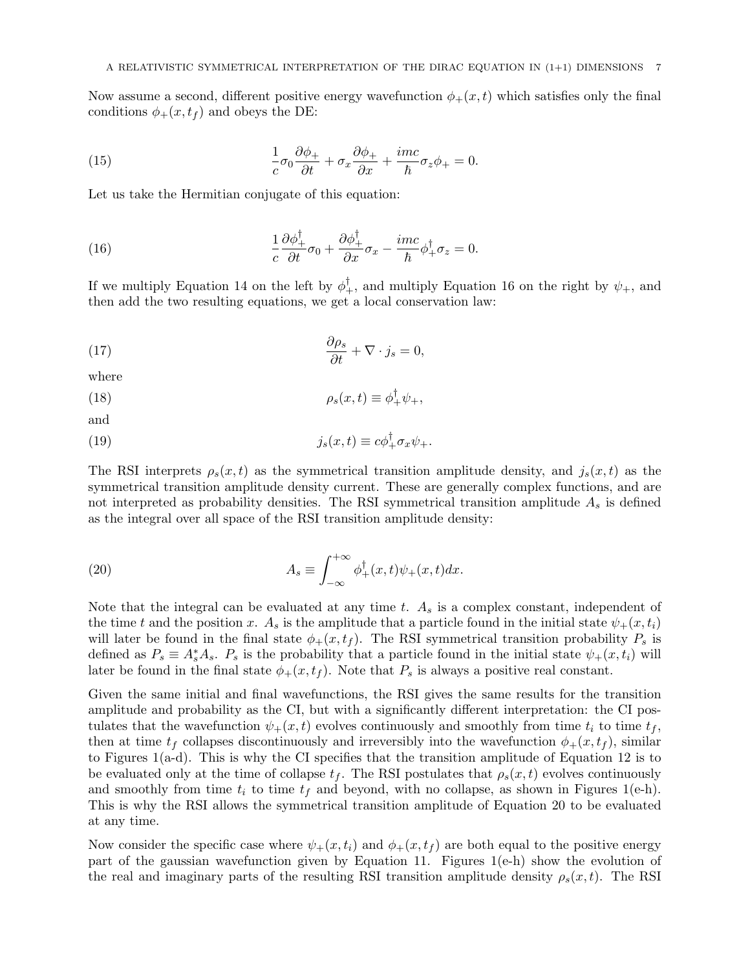Now assume a second, different positive energy wavefunction  $\phi_{+}(x,t)$  which satisfies only the final conditions  $\phi_{+}(x,t_f)$  and obeys the DE:

(15) 
$$
\frac{1}{c}\sigma_0 \frac{\partial \phi_+}{\partial t} + \sigma_x \frac{\partial \phi_+}{\partial x} + \frac{imc}{\hbar} \sigma_z \phi_+ = 0.
$$

Let us take the Hermitian conjugate of this equation:

(16) 
$$
\frac{1}{c}\frac{\partial \phi_+^{\dagger}}{\partial t}\sigma_0 + \frac{\partial \phi_+^{\dagger}}{\partial x}\sigma_x - \frac{imc}{\hbar}\phi_+^{\dagger}\sigma_z = 0.
$$

If we multiply Equation 14 on the left by  $\phi_+^{\dagger}$ , and multiply Equation 16 on the right by  $\psi_+$ , and then add the two resulting equations, we get a local conservation law:

(17) 
$$
\frac{\partial \rho_s}{\partial t} + \nabla \cdot j_s = 0,
$$

where

(18) 
$$
\rho_s(x,t) \equiv \phi_+^{\dagger} \psi_+,
$$

and

(19) 
$$
j_s(x,t) \equiv c\phi_+^{\dagger} \sigma_x \psi_+.
$$

The RSI interprets  $\rho_s(x,t)$  as the symmetrical transition amplitude density, and  $j_s(x,t)$  as the symmetrical transition amplitude density current. These are generally complex functions, and are not interpreted as probability densities. The RSI symmetrical transition amplitude  $A_s$  is defined as the integral over all space of the RSI transition amplitude density:

(20) 
$$
A_s \equiv \int_{-\infty}^{+\infty} \phi_+^{\dagger}(x,t)\psi_+(x,t)dx.
$$

Note that the integral can be evaluated at any time t.  $A_s$  is a complex constant, independent of the time t and the position x.  $A_s$  is the amplitude that a particle found in the initial state  $\psi_+(x, t_i)$ will later be found in the final state  $\phi_{+}(x,t_f)$ . The RSI symmetrical transition probability  $P_s$  is defined as  $P_s \equiv A_s^* A_s$ .  $P_s$  is the probability that a particle found in the initial state  $\psi_+(x,t_i)$  will later be found in the final state  $\phi_+(x, t_f)$ . Note that  $P_s$  is always a positive real constant.

Given the same initial and final wavefunctions, the RSI gives the same results for the transition amplitude and probability as the CI, but with a significantly different interpretation: the CI postulates that the wavefunction  $\psi_+(x,t)$  evolves continuously and smoothly from time  $t_i$  to time  $t_f$ , then at time  $t_f$  collapses discontinuously and irreversibly into the wavefunction  $\phi_+(x, t_f)$ , similar to Figures 1(a-d). This is why the CI specifies that the transition amplitude of Equation 12 is to be evaluated only at the time of collapse  $t_f$ . The RSI postulates that  $\rho_s(x,t)$  evolves continuously and smoothly from time  $t_i$  to time  $t_f$  and beyond, with no collapse, as shown in Figures 1(e-h). This is why the RSI allows the symmetrical transition amplitude of Equation 20 to be evaluated at any time.

Now consider the specific case where  $\psi_+(x,t_i)$  and  $\phi_+(x,t_f)$  are both equal to the positive energy part of the gaussian wavefunction given by Equation 11. Figures 1(e-h) show the evolution of the real and imaginary parts of the resulting RSI transition amplitude density  $\rho_s(x,t)$ . The RSI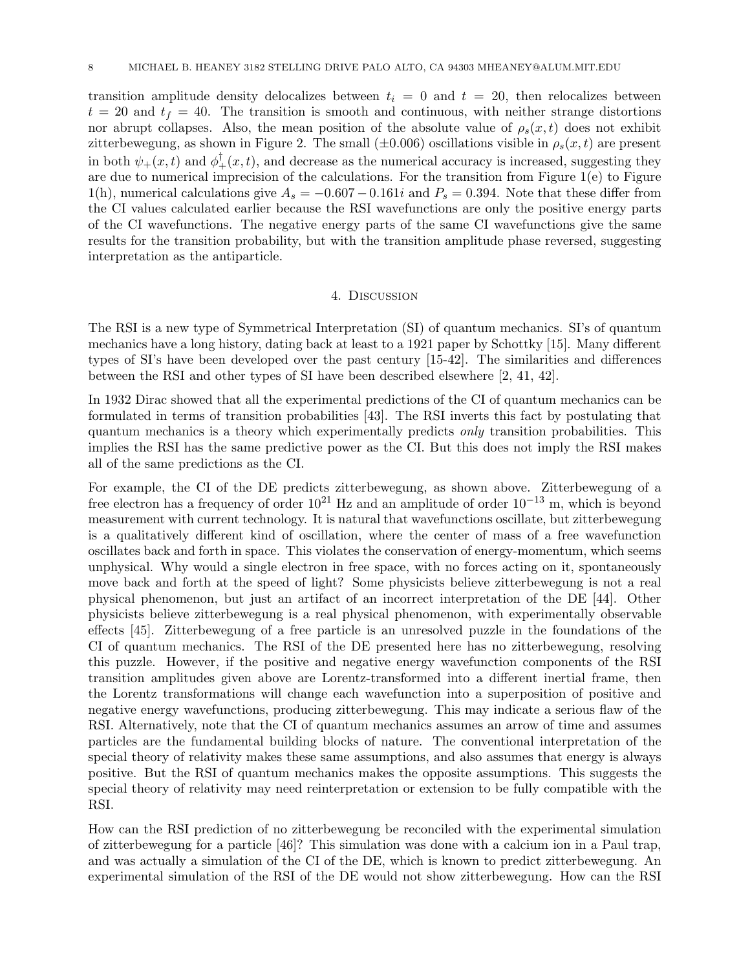transition amplitude density delocalizes between  $t_i = 0$  and  $t = 20$ , then relocalizes between  $t = 20$  and  $t_f = 40$ . The transition is smooth and continuous, with neither strange distortions nor abrupt collapses. Also, the mean position of the absolute value of  $\rho_s(x,t)$  does not exhibit zitterbewegung, as shown in Figure 2. The small ( $\pm 0.006$ ) oscillations visible in  $\rho_s(x,t)$  are present in both  $\psi_+(x,t)$  and  $\phi_+^{\dagger}(x,t)$ , and decrease as the numerical accuracy is increased, suggesting they are due to numerical imprecision of the calculations. For the transition from Figure 1(e) to Figure 1(h), numerical calculations give  $A_s = -0.607 - 0.161i$  and  $P_s = 0.394$ . Note that these differ from the CI values calculated earlier because the RSI wavefunctions are only the positive energy parts of the CI wavefunctions. The negative energy parts of the same CI wavefunctions give the same results for the transition probability, but with the transition amplitude phase reversed, suggesting interpretation as the antiparticle.

### 4. Discussion

The RSI is a new type of Symmetrical Interpretation (SI) of quantum mechanics. SI's of quantum mechanics have a long history, dating back at least to a 1921 paper by Schottky [15]. Many different types of SI's have been developed over the past century [15-42]. The similarities and differences between the RSI and other types of SI have been described elsewhere [2, 41, 42].

In 1932 Dirac showed that all the experimental predictions of the CI of quantum mechanics can be formulated in terms of transition probabilities [43]. The RSI inverts this fact by postulating that quantum mechanics is a theory which experimentally predicts only transition probabilities. This implies the RSI has the same predictive power as the CI. But this does not imply the RSI makes all of the same predictions as the CI.

For example, the CI of the DE predicts zitterbewegung, as shown above. Zitterbewegung of a free electron has a frequency of order  $10^{21}$  Hz and an amplitude of order  $10^{-13}$  m, which is beyond measurement with current technology. It is natural that wavefunctions oscillate, but zitterbewegung is a qualitatively different kind of oscillation, where the center of mass of a free wavefunction oscillates back and forth in space. This violates the conservation of energy-momentum, which seems unphysical. Why would a single electron in free space, with no forces acting on it, spontaneously move back and forth at the speed of light? Some physicists believe zitterbewegung is not a real physical phenomenon, but just an artifact of an incorrect interpretation of the DE [44]. Other physicists believe zitterbewegung is a real physical phenomenon, with experimentally observable effects [45]. Zitterbewegung of a free particle is an unresolved puzzle in the foundations of the CI of quantum mechanics. The RSI of the DE presented here has no zitterbewegung, resolving this puzzle. However, if the positive and negative energy wavefunction components of the RSI transition amplitudes given above are Lorentz-transformed into a different inertial frame, then the Lorentz transformations will change each wavefunction into a superposition of positive and negative energy wavefunctions, producing zitterbewegung. This may indicate a serious flaw of the RSI. Alternatively, note that the CI of quantum mechanics assumes an arrow of time and assumes particles are the fundamental building blocks of nature. The conventional interpretation of the special theory of relativity makes these same assumptions, and also assumes that energy is always positive. But the RSI of quantum mechanics makes the opposite assumptions. This suggests the special theory of relativity may need reinterpretation or extension to be fully compatible with the RSI.

How can the RSI prediction of no zitterbewegung be reconciled with the experimental simulation of zitterbewegung for a particle [46]? This simulation was done with a calcium ion in a Paul trap, and was actually a simulation of the CI of the DE, which is known to predict zitterbewegung. An experimental simulation of the RSI of the DE would not show zitterbewegung. How can the RSI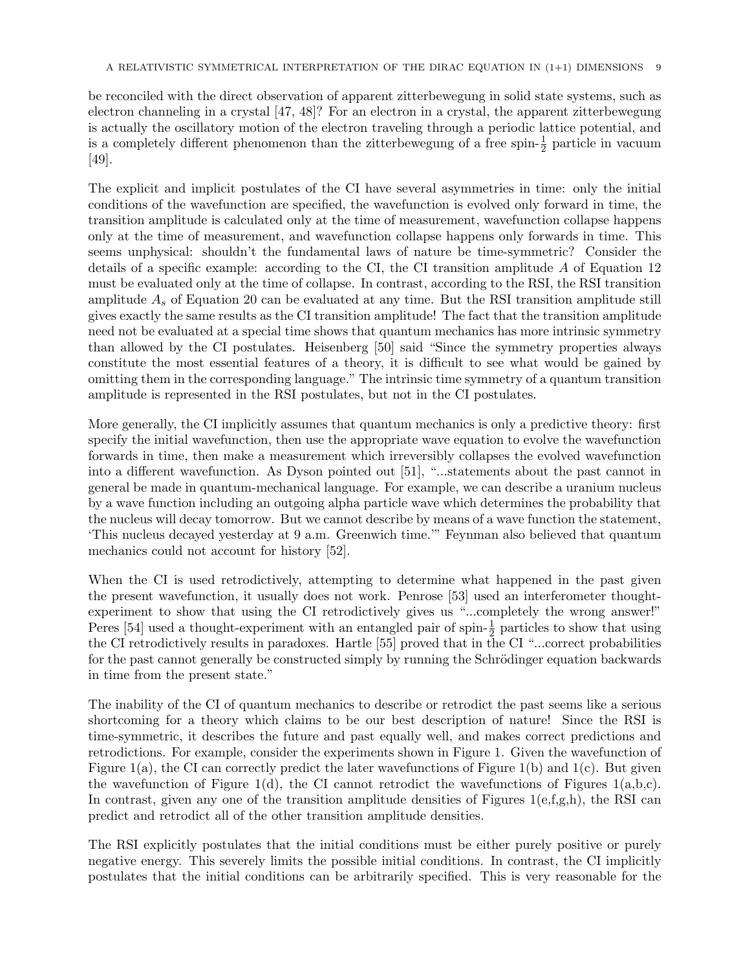be reconciled with the direct observation of apparent zitterbewegung in solid state systems, such as electron channeling in a crystal [47, 48]? For an electron in a crystal, the apparent zitterbewegung is actually the oscillatory motion of the electron traveling through a periodic lattice potential, and is a completely different phenomenon than the zitterbewegung of a free spin- $\frac{1}{2}$  particle in vacuum [49].

The explicit and implicit postulates of the CI have several asymmetries in time: only the initial conditions of the wavefunction are specified, the wavefunction is evolved only forward in time, the transition amplitude is calculated only at the time of measurement, wavefunction collapse happens only at the time of measurement, and wavefunction collapse happens only forwards in time. This seems unphysical: shouldn't the fundamental laws of nature be time-symmetric? Consider the details of a specific example: according to the CI, the CI transition amplitude A of Equation 12 must be evaluated only at the time of collapse. In contrast, according to the RSI, the RSI transition amplitude  $A<sub>s</sub>$  of Equation 20 can be evaluated at any time. But the RSI transition amplitude still gives exactly the same results as the CI transition amplitude! The fact that the transition amplitude need not be evaluated at a special time shows that quantum mechanics has more intrinsic symmetry than allowed by the CI postulates. Heisenberg [50] said "Since the symmetry properties always constitute the most essential features of a theory, it is difficult to see what would be gained by omitting them in the corresponding language." The intrinsic time symmetry of a quantum transition amplitude is represented in the RSI postulates, but not in the CI postulates.

More generally, the CI implicitly assumes that quantum mechanics is only a predictive theory: first specify the initial wavefunction, then use the appropriate wave equation to evolve the wavefunction forwards in time, then make a measurement which irreversibly collapses the evolved wavefunction into a different wavefunction. As Dyson pointed out [51], "...statements about the past cannot in general be made in quantum-mechanical language. For example, we can describe a uranium nucleus by a wave function including an outgoing alpha particle wave which determines the probability that the nucleus will decay tomorrow. But we cannot describe by means of a wave function the statement, 'This nucleus decayed yesterday at 9 a.m. Greenwich time.'" Feynman also believed that quantum mechanics could not account for history [52].

When the CI is used retrodictively, attempting to determine what happened in the past given the present wavefunction, it usually does not work. Penrose [53] used an interferometer thoughtexperiment to show that using the CI retrodictively gives us "...completely the wrong answer!" Peres [54] used a thought-experiment with an entangled pair of spin- $\frac{1}{2}$  particles to show that using the CI retrodictively results in paradoxes. Hartle [55] proved that in the CI "...correct probabilities for the past cannot generally be constructed simply by running the Schrödinger equation backwards in time from the present state."

The inability of the CI of quantum mechanics to describe or retrodict the past seems like a serious shortcoming for a theory which claims to be our best description of nature! Since the RSI is time-symmetric, it describes the future and past equally well, and makes correct predictions and retrodictions. For example, consider the experiments shown in Figure 1. Given the wavefunction of Figure 1(a), the CI can correctly predict the later wavefunctions of Figure 1(b) and 1(c). But given the wavefunction of Figure 1(d), the CI cannot retrodict the wavefunctions of Figures 1(a,b,c). In contrast, given any one of the transition amplitude densities of Figures  $1(e,f,g,h)$ , the RSI can predict and retrodict all of the other transition amplitude densities.

The RSI explicitly postulates that the initial conditions must be either purely positive or purely negative energy. This severely limits the possible initial conditions. In contrast, the CI implicitly postulates that the initial conditions can be arbitrarily specified. This is very reasonable for the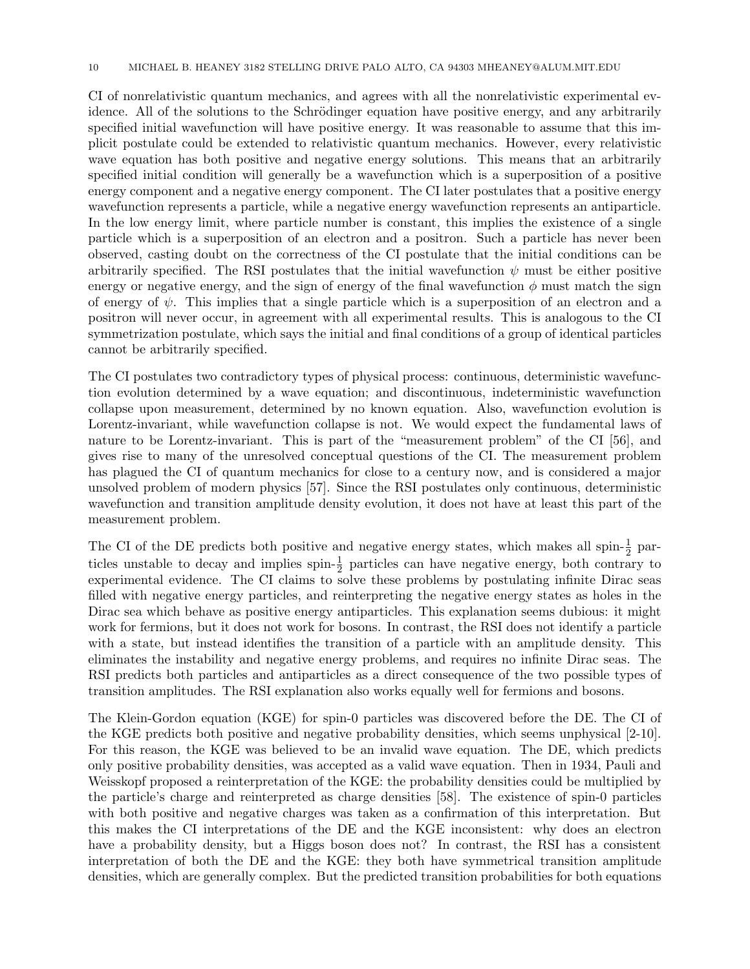CI of nonrelativistic quantum mechanics, and agrees with all the nonrelativistic experimental evidence. All of the solutions to the Schrödinger equation have positive energy, and any arbitrarily specified initial wavefunction will have positive energy. It was reasonable to assume that this implicit postulate could be extended to relativistic quantum mechanics. However, every relativistic wave equation has both positive and negative energy solutions. This means that an arbitrarily specified initial condition will generally be a wavefunction which is a superposition of a positive energy component and a negative energy component. The CI later postulates that a positive energy wavefunction represents a particle, while a negative energy wavefunction represents an antiparticle. In the low energy limit, where particle number is constant, this implies the existence of a single particle which is a superposition of an electron and a positron. Such a particle has never been observed, casting doubt on the correctness of the CI postulate that the initial conditions can be arbitrarily specified. The RSI postulates that the initial wavefunction  $\psi$  must be either positive energy or negative energy, and the sign of energy of the final wavefunction  $\phi$  must match the sign of energy of  $\psi$ . This implies that a single particle which is a superposition of an electron and a positron will never occur, in agreement with all experimental results. This is analogous to the CI symmetrization postulate, which says the initial and final conditions of a group of identical particles cannot be arbitrarily specified.

The CI postulates two contradictory types of physical process: continuous, deterministic wavefunction evolution determined by a wave equation; and discontinuous, indeterministic wavefunction collapse upon measurement, determined by no known equation. Also, wavefunction evolution is Lorentz-invariant, while wavefunction collapse is not. We would expect the fundamental laws of nature to be Lorentz-invariant. This is part of the "measurement problem" of the CI [56], and gives rise to many of the unresolved conceptual questions of the CI. The measurement problem has plagued the CI of quantum mechanics for close to a century now, and is considered a major unsolved problem of modern physics [57]. Since the RSI postulates only continuous, deterministic wavefunction and transition amplitude density evolution, it does not have at least this part of the measurement problem.

The CI of the DE predicts both positive and negative energy states, which makes all spin- $\frac{1}{2}$  particles unstable to decay and implies spin- $\frac{1}{2}$  particles can have negative energy, both contrary to experimental evidence. The CI claims to solve these problems by postulating infinite Dirac seas filled with negative energy particles, and reinterpreting the negative energy states as holes in the Dirac sea which behave as positive energy antiparticles. This explanation seems dubious: it might work for fermions, but it does not work for bosons. In contrast, the RSI does not identify a particle with a state, but instead identifies the transition of a particle with an amplitude density. This eliminates the instability and negative energy problems, and requires no infinite Dirac seas. The RSI predicts both particles and antiparticles as a direct consequence of the two possible types of transition amplitudes. The RSI explanation also works equally well for fermions and bosons.

The Klein-Gordon equation (KGE) for spin-0 particles was discovered before the DE. The CI of the KGE predicts both positive and negative probability densities, which seems unphysical [2-10]. For this reason, the KGE was believed to be an invalid wave equation. The DE, which predicts only positive probability densities, was accepted as a valid wave equation. Then in 1934, Pauli and Weisskopf proposed a reinterpretation of the KGE: the probability densities could be multiplied by the particle's charge and reinterpreted as charge densities [58]. The existence of spin-0 particles with both positive and negative charges was taken as a confirmation of this interpretation. But this makes the CI interpretations of the DE and the KGE inconsistent: why does an electron have a probability density, but a Higgs boson does not? In contrast, the RSI has a consistent interpretation of both the DE and the KGE: they both have symmetrical transition amplitude densities, which are generally complex. But the predicted transition probabilities for both equations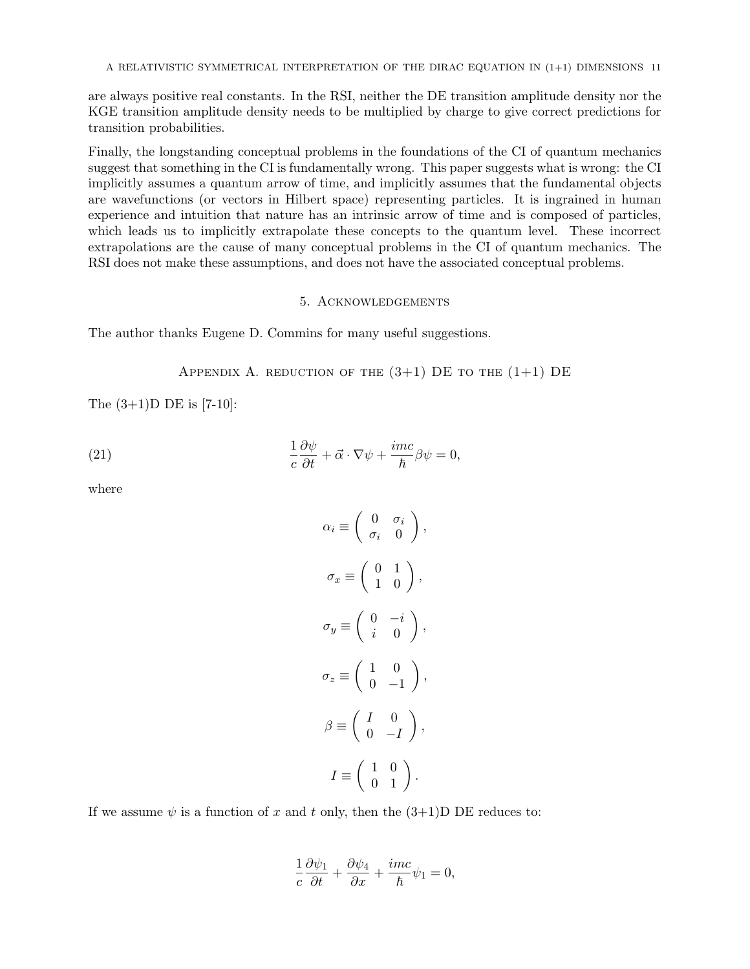are always positive real constants. In the RSI, neither the DE transition amplitude density nor the KGE transition amplitude density needs to be multiplied by charge to give correct predictions for transition probabilities.

Finally, the longstanding conceptual problems in the foundations of the CI of quantum mechanics suggest that something in the CI is fundamentally wrong. This paper suggests what is wrong: the CI implicitly assumes a quantum arrow of time, and implicitly assumes that the fundamental objects are wavefunctions (or vectors in Hilbert space) representing particles. It is ingrained in human experience and intuition that nature has an intrinsic arrow of time and is composed of particles, which leads us to implicitly extrapolate these concepts to the quantum level. These incorrect extrapolations are the cause of many conceptual problems in the CI of quantum mechanics. The RSI does not make these assumptions, and does not have the associated conceptual problems.

# 5. Acknowledgements

The author thanks Eugene D. Commins for many useful suggestions.

# APPENDIX A. REDUCTION OF THE  $(3+1)$  DE to the  $(1+1)$  DE

The  $(3+1)$ D DE is [7-10]:

(21) 
$$
\frac{1}{c}\frac{\partial\psi}{\partial t} + \vec{\alpha}\cdot\nabla\psi + \frac{imc}{\hbar}\beta\psi = 0,
$$

where

$$
\alpha_i \equiv \begin{pmatrix} 0 & \sigma_i \\ \sigma_i & 0 \end{pmatrix},
$$

$$
\sigma_x \equiv \begin{pmatrix} 0 & 1 \\ 1 & 0 \end{pmatrix},
$$

$$
\sigma_y \equiv \begin{pmatrix} 0 & -i \\ i & 0 \end{pmatrix},
$$

$$
\sigma_z \equiv \begin{pmatrix} 1 & 0 \\ 0 & -1 \end{pmatrix},
$$

$$
\beta \equiv \begin{pmatrix} I & 0 \\ 0 & -I \end{pmatrix},
$$

$$
I \equiv \begin{pmatrix} 1 & 0 \\ 0 & 1 \end{pmatrix}.
$$

If we assume  $\psi$  is a function of x and t only, then the  $(3+1)$ D DE reduces to:

$$
\frac{1}{c}\frac{\partial \psi_1}{\partial t} + \frac{\partial \psi_4}{\partial x} + \frac{imc}{\hbar}\psi_1 = 0,
$$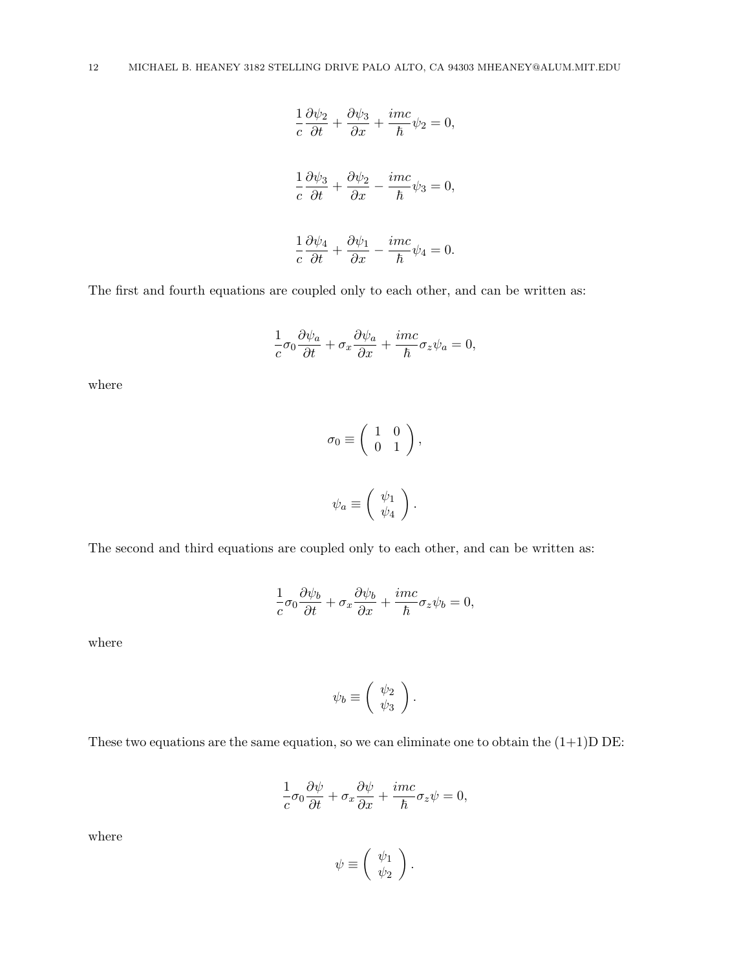$$
\frac{1}{c}\frac{\partial\psi_2}{\partial t} + \frac{\partial\psi_3}{\partial x} + \frac{imc}{\hbar}\psi_2 = 0,
$$
  

$$
\frac{1}{c}\frac{\partial\psi_3}{\partial t} + \frac{\partial\psi_2}{\partial x} - \frac{imc}{\hbar}\psi_3 = 0,
$$
  

$$
\frac{1}{c}\frac{\partial\psi_4}{\partial t} + \frac{\partial\psi_1}{\partial x} - \frac{imc}{\hbar}\psi_4 = 0.
$$

The first and fourth equations are coupled only to each other, and can be written as:

$$
\frac{1}{c}\sigma_0 \frac{\partial \psi_a}{\partial t} + \sigma_x \frac{\partial \psi_a}{\partial x} + \frac{imc}{\hbar} \sigma_z \psi_a = 0,
$$

where

$$
\sigma_0 \equiv \begin{pmatrix} 1 & 0 \\ 0 & 1 \end{pmatrix},
$$
  

$$
\psi_a \equiv \begin{pmatrix} \psi_1 \\ \psi_4 \end{pmatrix}.
$$

The second and third equations are coupled only to each other, and can be written as:

$$
\frac{1}{c}\sigma_0 \frac{\partial \psi_b}{\partial t} + \sigma_x \frac{\partial \psi_b}{\partial x} + \frac{imc}{\hbar} \sigma_z \psi_b = 0,
$$

where

$$
\psi_b \equiv \left( \begin{array}{c} \psi_2 \\ \psi_3 \end{array} \right).
$$

These two equations are the same equation, so we can eliminate one to obtain the  $(1+1)D$  DE:

$$
\frac{1}{c}\sigma_0 \frac{\partial \psi}{\partial t} + \sigma_x \frac{\partial \psi}{\partial x} + \frac{imc}{\hbar} \sigma_z \psi = 0,
$$

where

$$
\psi \equiv \left( \begin{array}{c} \psi_1 \\ \psi_2 \end{array} \right).
$$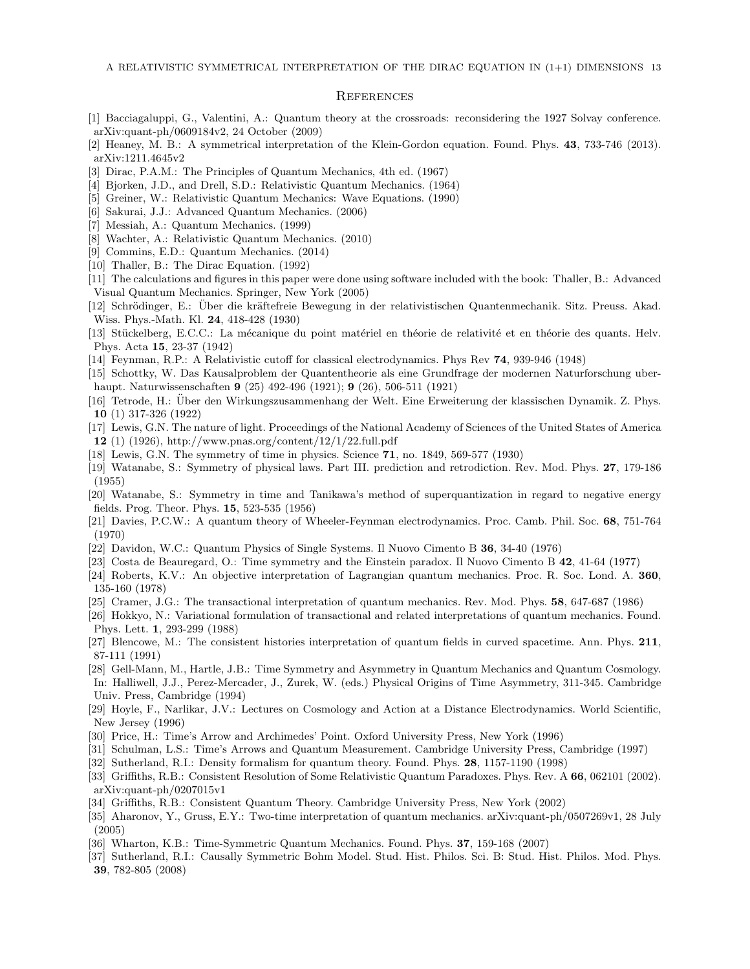#### **REFERENCES**

- [1] Bacciagaluppi, G., Valentini, A.: Quantum theory at the crossroads: reconsidering the 1927 Solvay conference. arXiv:quant-ph/0609184v2, 24 October (2009)
- [2] Heaney, M. B.: A symmetrical interpretation of the Klein-Gordon equation. Found. Phys. 43, 733-746 (2013). arXiv:1211.4645v2
- [3] Dirac, P.A.M.: The Principles of Quantum Mechanics, 4th ed. (1967)
- [4] Bjorken, J.D., and Drell, S.D.: Relativistic Quantum Mechanics. (1964)
- [5] Greiner, W.: Relativistic Quantum Mechanics: Wave Equations. (1990)
- [6] Sakurai, J.J.: Advanced Quantum Mechanics. (2006)
- [7] Messiah, A.: Quantum Mechanics. (1999)
- [8] Wachter, A.: Relativistic Quantum Mechanics. (2010)
- [9] Commins, E.D.: Quantum Mechanics. (2014)
- [10] Thaller, B.: The Dirac Equation. (1992)
- [11] The calculations and figures in this paper were done using software included with the book: Thaller, B.: Advanced Visual Quantum Mechanics. Springer, New York (2005)
- [12] Schrödinger, E.: Über die kräftefreie Bewegung in der relativistischen Quantenmechanik. Sitz. Preuss. Akad. Wiss. Phys.-Math. Kl. 24, 418-428 (1930)
- [13] Stückelberg, E.C.C.: La mécanique du point matériel en théorie de relativité et en théorie des quants. Helv. Phys. Acta 15, 23-37 (1942)
- [14] Feynman, R.P.: A Relativistic cutoff for classical electrodynamics. Phys Rev 74, 939-946 (1948)
- [15] Schottky, W. Das Kausalproblem der Quantentheorie als eine Grundfrage der modernen Naturforschung uberhaupt. Naturwissenschaften 9 (25) 492-496 (1921); 9 (26), 506-511 (1921)
- [16] Tetrode, H.: Uber den Wirkungszusammenhang der Welt. Eine Erweiterung der klassischen Dynamik. Z. Phys. ¨ 10 (1) 317-326 (1922)
- [17] Lewis, G.N. The nature of light. Proceedings of the National Academy of Sciences of the United States of America 12 (1) (1926), http://www.pnas.org/content/12/1/22.full.pdf
- [18] Lewis, G.N. The symmetry of time in physics. Science 71, no. 1849, 569-577 (1930)
- [19] Watanabe, S.: Symmetry of physical laws. Part III. prediction and retrodiction. Rev. Mod. Phys. 27, 179-186 (1955)
- [20] Watanabe, S.: Symmetry in time and Tanikawa's method of superquantization in regard to negative energy fields. Prog. Theor. Phys. 15, 523-535 (1956)
- [21] Davies, P.C.W.: A quantum theory of Wheeler-Feynman electrodynamics. Proc. Camb. Phil. Soc. 68, 751-764 (1970)
- [22] Davidon, W.C.: Quantum Physics of Single Systems. Il Nuovo Cimento B 36, 34-40 (1976)
- [23] Costa de Beauregard, O.: Time symmetry and the Einstein paradox. Il Nuovo Cimento B 42, 41-64 (1977)
- [24] Roberts, K.V.: An objective interpretation of Lagrangian quantum mechanics. Proc. R. Soc. Lond. A. 360, 135-160 (1978)
- [25] Cramer, J.G.: The transactional interpretation of quantum mechanics. Rev. Mod. Phys. 58, 647-687 (1986)
- [26] Hokkyo, N.: Variational formulation of transactional and related interpretations of quantum mechanics. Found. Phys. Lett. 1, 293-299 (1988)
- [27] Blencowe, M.: The consistent histories interpretation of quantum fields in curved spacetime. Ann. Phys. 211, 87-111 (1991)
- [28] Gell-Mann, M., Hartle, J.B.: Time Symmetry and Asymmetry in Quantum Mechanics and Quantum Cosmology. In: Halliwell, J.J., Perez-Mercader, J., Zurek, W. (eds.) Physical Origins of Time Asymmetry, 311-345. Cambridge Univ. Press, Cambridge (1994)
- [29] Hoyle, F., Narlikar, J.V.: Lectures on Cosmology and Action at a Distance Electrodynamics. World Scientific, New Jersey (1996)
- [30] Price, H.: Time's Arrow and Archimedes' Point. Oxford University Press, New York (1996)
- [31] Schulman, L.S.: Time's Arrows and Quantum Measurement. Cambridge University Press, Cambridge (1997)
- [32] Sutherland, R.I.: Density formalism for quantum theory. Found. Phys. 28, 1157-1190 (1998)
- [33] Griffiths, R.B.: Consistent Resolution of Some Relativistic Quantum Paradoxes. Phys. Rev. A 66, 062101 (2002). arXiv:quant-ph/0207015v1
- [34] Griffiths, R.B.: Consistent Quantum Theory. Cambridge University Press, New York (2002)
- [35] Aharonov, Y., Gruss, E.Y.: Two-time interpretation of quantum mechanics. arXiv:quant-ph/0507269v1, 28 July (2005)
- [36] Wharton, K.B.: Time-Symmetric Quantum Mechanics. Found. Phys. 37, 159-168 (2007)
- [37] Sutherland, R.I.: Causally Symmetric Bohm Model. Stud. Hist. Philos. Sci. B: Stud. Hist. Philos. Mod. Phys. 39, 782-805 (2008)